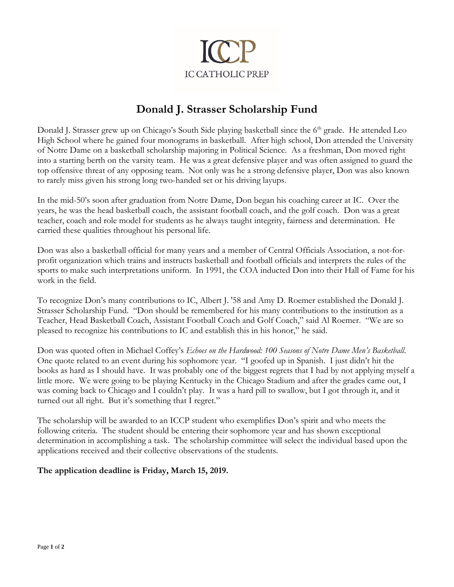

# **Donald J. Strasser Scholarship Fund**

Donald J. Strasser grew up on Chicago's South Side playing basketball since the 6<sup>th</sup> grade. He attended Leo High School where he gained four monograms in basketball. After high school, Don attended the University of Notre Dame on a basketball scholarship majoring in Political Science. As a freshman, Don moved right into a starting berth on the varsity team. He was a great defensive player and was often assigned to guard the top offensive threat of any opposing team. Not only was he a strong defensive player, Don was also known to rarely miss given his strong long two-handed set or his driving layups.

In the mid-50's soon after graduation from Notre Dame, Don began his coaching career at IC. Over the years, he was the head basketball coach, the assistant football coach, and the golf coach. Don was a great teacher, coach and role model for students as he always taught integrity, fairness and determination. He carried these qualities throughout his personal life.

Don was also a basketball official for many years and a member of Central Officials Association, a not-forprofit organization which trains and instructs basketball and football officials and interprets the rules of the sports to make such interpretations uniform. In 1991, the COA inducted Don into their Hall of Fame for his work in the field.

To recognize Don's many contributions to IC, Albert J. '58 and Amy D. Roemer established the Donald J. Strasser Scholarship Fund. "Don should be remembered for his many contributions to the institution as a Teacher, Head Basketball Coach, Assistant Football Coach and Golf Coach," said Al Roemer. "We are so pleased to recognize his contributions to IC and establish this in his honor," he said.

Don was quoted often in Michael Coffey's *Echoes on the Hardwood: 100 Seasons of Notre Dame Men's Basketball*. One quote related to an event during his sophomore year. "I goofed up in Spanish. I just didn't hit the books as hard as I should have. It was probably one of the biggest regrets that I had by not applying myself a little more. We were going to be playing Kentucky in the Chicago Stadium and after the grades came out, I was coming back to Chicago and I couldn't play. It was a hard pill to swallow, but I got through it, and it turned out all right. But it's something that I regret."

The scholarship will be awarded to an ICCP student who exemplifies Don's spirit and who meets the following criteria. The student should be entering their sophomore year and has shown exceptional determination in accomplishing a task. The scholarship committee will select the individual based upon the applications received and their collective observations of the students.

### **The application deadline is Friday, March 15, 2019.**